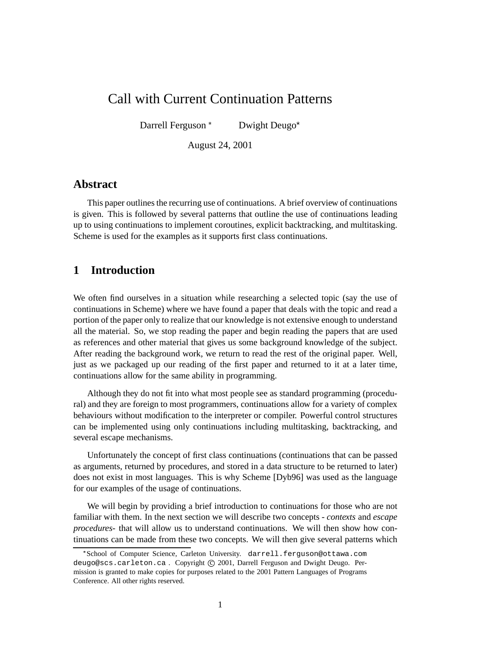# Call with Current Continuation Patterns

Darrell Ferguson<sup>\*</sup> Dwight Deugo

August 24, 2001

### **Abstract**

This paper outlines the recurring use of continuations. A brief overview of continuations is given. This is followed by several patterns that outline the use of continuations leading up to using continuations to implement coroutines, explicit backtracking, and multitasking. Scheme is used for the examples as it supports first class continuations.

## **1 Introduction**

We often find ourselves in a situation while researching a selected topic (say the use of continuations in Scheme) where we have found a paper that deals with the topic and read a portion of the paper only to realize that our knowledge is not extensive enough to understand all the material. So, we stop reading the paper and begin reading the papers that are used as references and other material that gives us some background knowledge of the subject. After reading the background work, we return to read the rest of the original paper. Well, just as we packaged up our reading of the first paper and returned to it at a later time, continuations allow for the same ability in programming.

Although they do not fit into what most people see as standard programming (procedural) and they are foreign to most programmers, continuations allow for a variety of complex behaviours without modification to the interpreter or compiler. Powerful control structures can be implemented using only continuations including multitasking, backtracking, and several escape mechanisms.

Unfortunately the concept of first class continuations (continuations that can be passed as arguments, returned by procedures, and stored in a data structure to be returned to later) does not exist in most languages. This is why Scheme [Dyb96] was used as the language for our examples of the usage of continuations.

We will begin by providing a brief introduction to continuations for those who are not familiar with them. In the next section we will describe two concepts - *contexts* and *escape procedures*- that will allow us to understand continuations. We will then show how continuations can be made from these two concepts. We will then give several patterns which

<sup>-</sup> School of Computer Science, Carleton University. darrell.ferguson@ottawa.com deugo@scs.carleton.ca. Copyright © 2001, Darrell Ferguson and Dwight Deugo. Permission is granted to make copies for purposes related to the 2001 Pattern Languages of Programs Conference. All other rights reserved.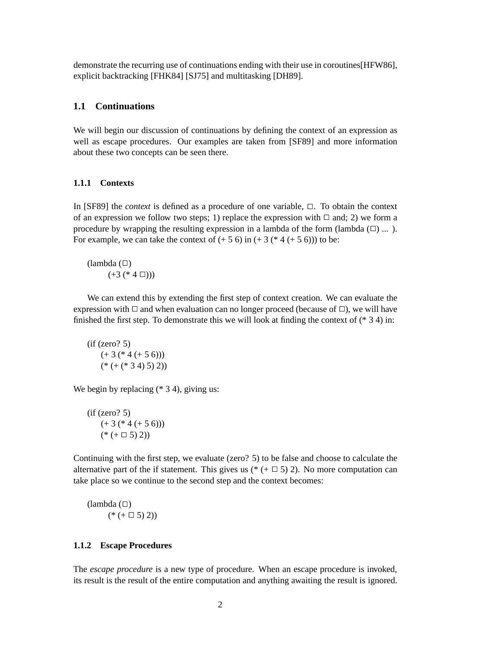demonstrate the recurring use of continuations ending with their use in coroutines[HFW86], explicit backtracking [FHK84] [SJ75] and multitasking [DH89].

#### **1.1 Continuations**

We will begin our discussion of continuations by defining the context of an expression as well as escape procedures. Our examples are taken from [SF89] and more information about these two concepts can be seen there.

#### **1.1.1 Contexts**

In [SF89] the *context* is defined as a procedure of one variable,  $\Box$ . To obtain the context of an expression we follow two steps; 1) replace the expression with  $\Box$  and; 2) we form a procedure by wrapping the resulting expression in a lambda of the form (lambda  $(\square)$  ... ). For example, we can take the context of  $(+ 5 6)$  in  $(+ 3 (* 4 (+ 5 6)))$  to be:

 $(lambda ( $\square$ )$  $(+3 (* 4 \Box))$ 

We can extend this by extending the first step of context creation. We can evaluate the expression with  $\Box$  and when evaluation can no longer proceed (because of  $\Box$ ), we will have finished the first step. To demonstrate this we will look at finding the context of  $(* 3 4)$  in:

 $(if (zero? 5)$  $(+ 3 (* 4 (+ 5 6)))$  $(* (+ (* 3 4) 5) 2))$ 

We begin by replacing (\* 3 4), giving us:

 $(if (zero? 5)$  $(+ 3 (* 4 (+ 5 6)))$  $(* (+ \square 5) 2))$ 

Continuing with the first step, we evaluate (zero? 5) to be false and choose to calculate the alternative part of the if statement. This gives us ( $*(+ \square 5)$ ). No more computation can take place so we continue to the second step and the context becomes:

 $(lambda (\Box))$  $(* (+ \square 5) 2))$ 

#### **1.1.2 Escape Procedures**

The *escape procedure* is a new type of procedure. When an escape procedure is invoked, its result is the result of the entire computation and anything awaiting the result is ignored.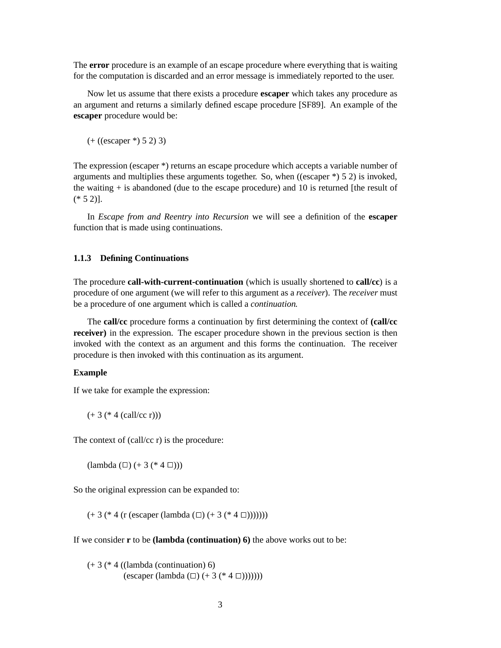The **error** procedure is an example of an escape procedure where everything that is waiting for the computation is discarded and an error message is immediately reported to the user.

Now let us assume that there exists a procedure **escaper** which takes any procedure as an argument and returns a similarly defined escape procedure [SF89]. An example of the **escaper** procedure would be:

(+ ((escaper \*) 5 2) 3)

The expression (escaper \*) returns an escape procedure which accepts a variable number of arguments and multiplies these arguments together. So, when  $((\text{escape }*) 5 2)$  is invoked, the waiting  $+$  is abandoned (due to the escape procedure) and 10 is returned [the result of  $(* 5 2)].$ 

In *Escape from and Reentry into Recursion* we will see a definition of the **escaper** function that is made using continuations.

#### **1.1.3 Defining Continuations**

The procedure **call-with-current-continuation** (which is usually shortened to **call/cc**) is a procedure of one argument (we will refer to this argument as a *receiver*). The *receiver* must be a procedure of one argument which is called a *continuation*.

The **call/cc** procedure forms a continuation by first determining the context of **(call/cc receiver)** in the expression. The escaper procedure shown in the previous section is then invoked with the context as an argument and this forms the continuation. The receiver procedure is then invoked with this continuation as its argument.

#### **Example**

If we take for example the expression:

 $(+ 3 (* 4 (call/cc r)))$ 

The context of (call/cc r) is the procedure:

 $(lambda (\Box) (+ 3 (* 4 \Box)))$ 

So the original expression can be expanded to:

 $(+ 3 (* 4 (r (escaper (lambda ( \Box) (+ 3 (* 4 \Box)))))))$ 

If we consider **r** to be **(lambda (continuation) 6)** the above works out to be:

 $(+ 3$  (\* 4 ((lambda (continuation) 6) (escaper (lambda  $(\Box)$  (+ 3 (\* 4  $(\Box))$ ))))))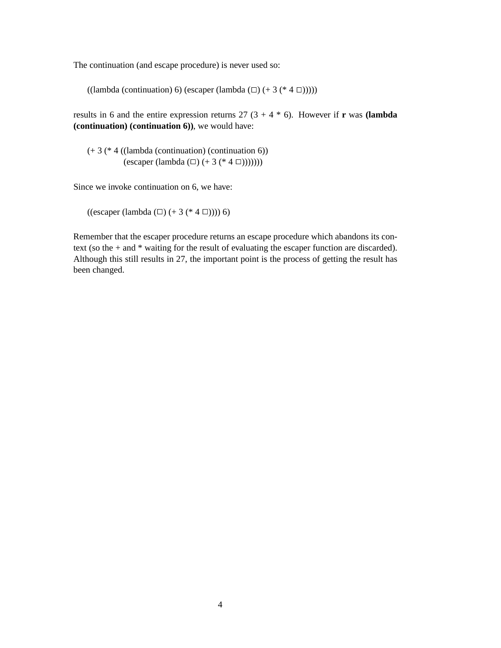The continuation (and escape procedure) is never used so:

((lambda (continuation) 6) (escaper (lambda  $(\square)$  (+ 3 (\* 4  $\square$ )))))

results in 6 and the entire expression returns  $27(3 + 4 * 6)$ . However if **r** was **(lambda (continuation) (continuation 6))**, we would have:

(+ 3 (\* 4 ((lambda (continuation) (continuation 6)) (escaper (lambda  $(\Box)$  (+ 3 (\* 4  $(\Box))$ ))))))

Since we invoke continuation on 6, we have:

((escaper (lambda  $(\square)$  (+ 3 (\* 4  $\square$ )))) 6)

Remember that the escaper procedure returns an escape procedure which abandons its context (so the + and \* waiting for the result of evaluating the escaper function are discarded). Although this still results in 27, the important point is the process of getting the result has been changed.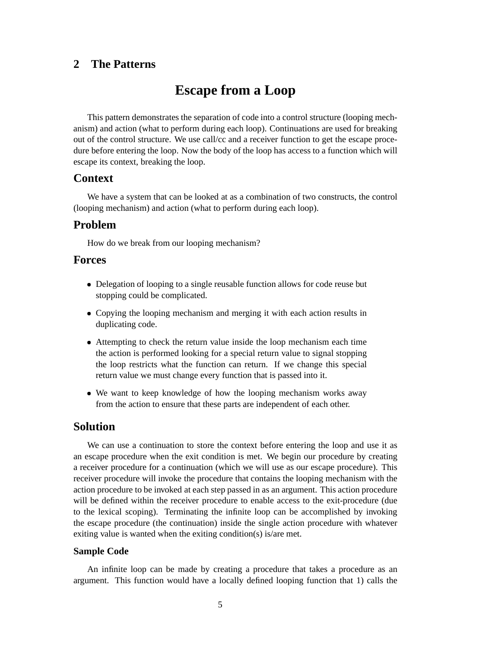## **2 The Patterns**

# **Escape from a Loop**

This pattern demonstrates the separation of code into a control structure (looping mechanism) and action (what to perform during each loop). Continuations are used for breaking out of the control structure. We use call/cc and a receiver function to get the escape procedure before entering the loop. Now the body of the loop has access to a function which will escape its context, breaking the loop.

#### **Context**

We have a system that can be looked at as a combination of two constructs, the control (looping mechanism) and action (what to perform during each loop).

### **Problem**

How do we break from our looping mechanism?

#### **Forces**

- Delegation of looping to a single reusable function allows for code reuse but stopping could be complicated.
- Copying the looping mechanism and merging it with each action results in duplicating code.
- Attempting to check the return value inside the loop mechanism each time the action is performed looking for a special return value to signal stopping the loop restricts what the function can return. If we change this special return value we must change every function that is passed into it.
- We want to keep knowledge of how the looping mechanism works away from the action to ensure that these parts are independent of each other.

#### **Solution**

We can use a continuation to store the context before entering the loop and use it as an escape procedure when the exit condition is met. We begin our procedure by creating a receiver procedure for a continuation (which we will use as our escape procedure). This receiver procedure will invoke the procedure that contains the looping mechanism with the action procedure to be invoked at each step passed in as an argument. This action procedure will be defined within the receiver procedure to enable access to the exit-procedure (due to the lexical scoping). Terminating the infinite loop can be accomplished by invoking the escape procedure (the continuation) inside the single action procedure with whatever exiting value is wanted when the exiting condition(s) is/are met.

#### **Sample Code**

An infinite loop can be made by creating a procedure that takes a procedure as an argument. This function would have a locally defined looping function that 1) calls the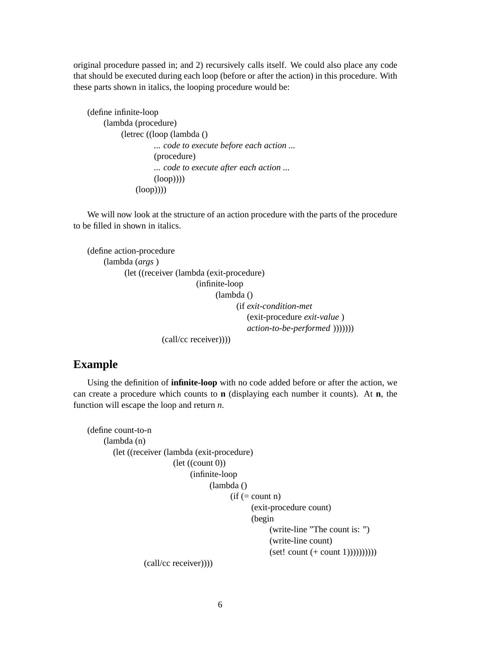original procedure passed in; and 2) recursively calls itself. We could also place any code that should be executed during each loop (before or after the action) in this procedure. With these parts shown in italics, the looping procedure would be:

```
(define infinite-loop
    (lambda (procedure)
         (letrec ((loop (lambda ()
                   ... code to execute before each action ...
                   (procedure)
                   ... code to execute after each action ...
                   (log(p)))
              (loop))))
```
We will now look at the structure of an action procedure with the parts of the procedure to be filled in shown in italics.

```
(define action-procedure
    (lambda (args )
          (let ((receiver (lambda (exit-procedure)
                               (infinite-loop
                                     (lambda ()
                                           (if exit-condition-met
                                              (exit-procedure exit-value )
                                              action-to-be-performed )))))))
                     (call/cc receiver))))
```
### **Example**

Using the definition of **infinite-loop** with no code added before or after the action, we can create a procedure which counts to **n** (displaying each number it counts). At **n**, the function will escape the loop and return *n*.

```
(define count-to-n
    (lambda (n)
       (let ((receiver (lambda (exit-procedure)
                         (\text{let } ((count 0))(infinite-loop
                                    (lambda ()
                                          (if (= count n)(exit-procedure count)
                                                 (begin
                                                      (write-line "The count is: ")
                                                      (write-line count)
                                                      (set! count (+ count 1))))))))))(call/cc receiver))))
```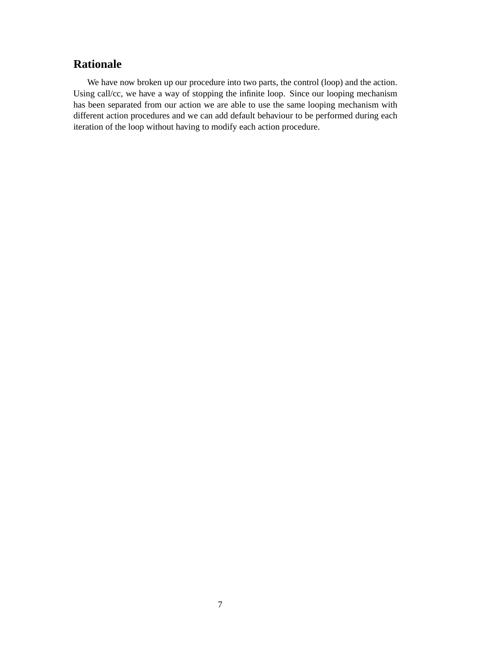## **Rationale**

We have now broken up our procedure into two parts, the control (loop) and the action. Using call/cc, we have a way of stopping the infinite loop. Since our looping mechanism has been separated from our action we are able to use the same looping mechanism with different action procedures and we can add default behaviour to be performed during each iteration of the loop without having to modify each action procedure.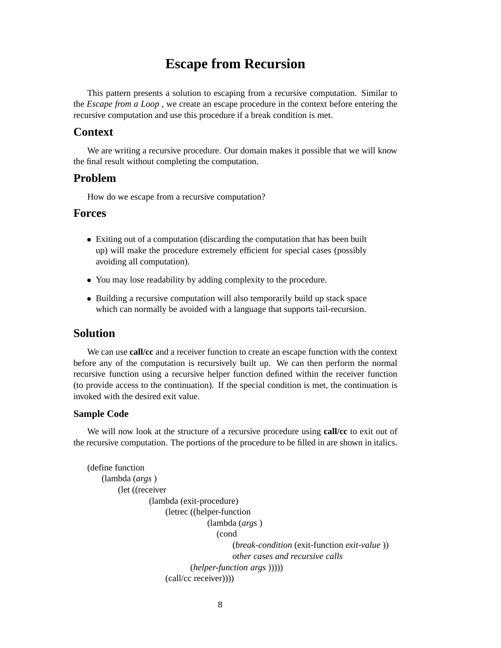# **Escape from Recursion**

This pattern presents a solution to escaping from a recursive computation. Similar to the *Escape from a Loop* , we create an escape procedure in the context before entering the recursive computation and use this procedure if a break condition is met.

#### **Context**

We are writing a recursive procedure. Our domain makes it possible that we will know the final result without completing the computation.

#### **Problem**

How do we escape from a recursive computation?

### **Forces**

- Exiting out of a computation (discarding the computation that has been built up) will make the procedure extremely efficient for special cases (possibly avoiding all computation).
- You may lose readability by adding complexity to the procedure.
- Building a recursive computation will also temporarily build up stack space which can normally be avoided with a language that supports tail-recursion.

#### **Solution**

We can use **call/cc** and a receiver function to create an escape function with the context before any of the computation is recursively built up. We can then perform the normal recursive function using a recursive helper function defined within the receiver function (to provide access to the continuation). If the special condition is met, the continuation is invoked with the desired exit value.

#### **Sample Code**

We will now look at the structure of a recursive procedure using **call/cc** to exit out of the recursive computation. The portions of the procedure to be filled in are shown in italics.

```
(define function
    (lambda (args )
        (let ((receiver
                  (lambda (exit-procedure)
                      (letrec ((helper-function
                                  (lambda (args )
                                     (cond
                                          (break-condition (exit-function exit-value ))
                                          other cases and recursive calls
                              (helper-function args )))))
                      (call/cc receiver))))
```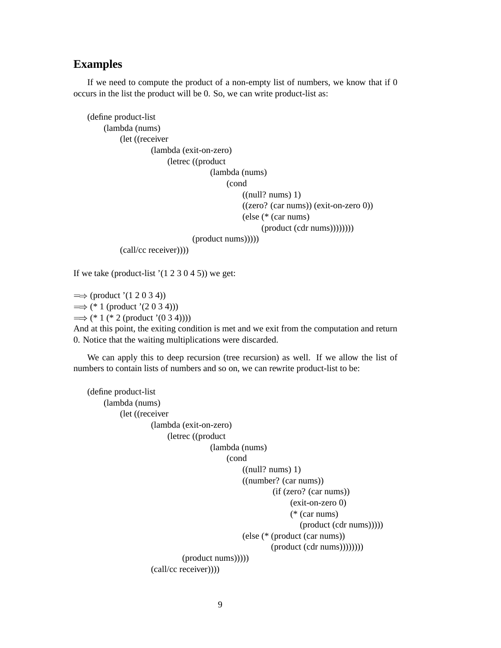## **Examples**

If we need to compute the product of a non-empty list of numbers, we know that if 0 occurs in the list the product will be 0. So, we can write product-list as:

```
(define product-list
    (lambda (nums)
         (let ((receiver
                 (lambda (exit-on-zero)
                      (letrec ((product
                                  (lambda (nums)
                                       (cond
                                           ((null? nums) 1)((zero? (car nums)) (exit-on-zero 0))
                                           (else (* (car nums)
                                                 (product (cdr nums)))))))(product nums)))))
         (call/cc receiver))))
```
If we take (product-list  $(1 2 3 0 4 5)$ ) we get:

 $\implies$  (product '(1 2 0 3 4))  $\implies$  (\* 1 (product '(2 0 3 4)))  $\implies$  (\* 1 (\* 2 (product '(0 3 4))))

And at this point, the exiting condition is met and we exit from the computation and return 0. Notice that the waiting multiplications were discarded.

We can apply this to deep recursion (tree recursion) as well. If we allow the list of numbers to contain lists of numbers and so on, we can rewrite product-list to be:

```
(define product-list
    (lambda (nums)
         (let ((receiver
                 (lambda (exit-on-zero)
                      (letrec ((product
                                  (lambda (nums)
                                      (cond
                                           ((null? nums) 1)((number? (car nums))
                                                   (if (zero? (car nums))
                                                        (exit-on-zero 0)
                                                        (* (car nums)
                                                           (product (cdr nums)))))
                                           (else (* (product (car nums))
                                                   (product (cdr nums)))))))(product nums)))))
                 (call/cc receiver))))
```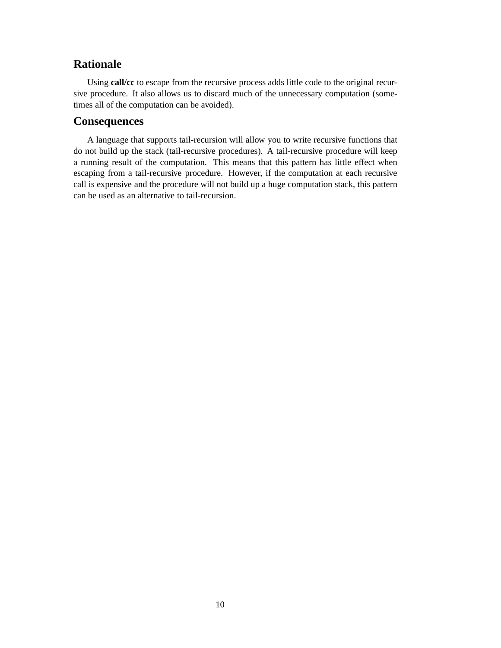## **Rationale**

Using **call/cc** to escape from the recursive process adds little code to the original recursive procedure. It also allows us to discard much of the unnecessary computation (sometimes all of the computation can be avoided).

## **Consequences**

A language that supports tail-recursion will allow you to write recursive functions that do not build up the stack (tail-recursive procedures). A tail-recursive procedure will keep a running result of the computation. This means that this pattern has little effect when escaping from a tail-recursive procedure. However, if the computation at each recursive call is expensive and the procedure will not build up a huge computation stack, this pattern can be used as an alternative to tail-recursion.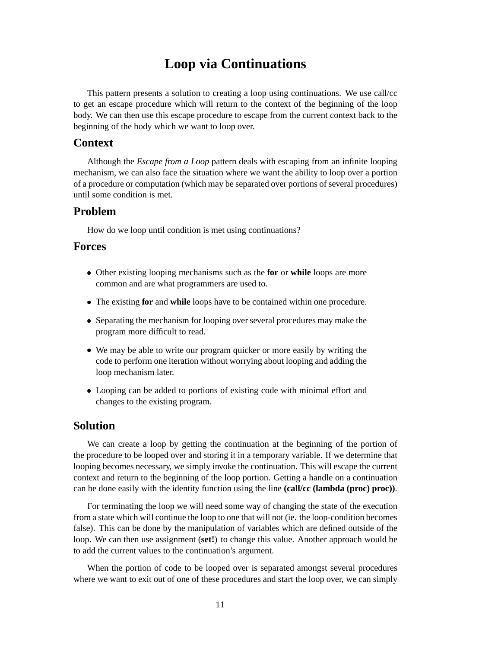# **Loop via Continuations**

This pattern presents a solution to creating a loop using continuations. We use call/cc to get an escape procedure which will return to the context of the beginning of the loop body. We can then use this escape procedure to escape from the current context back to the beginning of the body which we want to loop over.

#### **Context**

Although the *Escape from a Loop* pattern deals with escaping from an infinite looping mechanism, we can also face the situation where we want the ability to loop over a portion of a procedure or computation (which may be separated over portions of several procedures) until some condition is met.

#### **Problem**

How do we loop until condition is met using continuations?

#### **Forces**

- Other existing looping mechanisms such as the **for** or **while** loops are more common and are what programmers are used to.
- The existing **for** and **while** loops have to be contained within one procedure.
- Separating the mechanism for looping over several procedures may make the program more difficult to read.
- We may be able to write our program quicker or more easily by writing the code to perform one iteration without worrying about looping and adding the loop mechanism later.
- Looping can be added to portions of existing code with minimal effort and changes to the existing program.

#### **Solution**

We can create a loop by getting the continuation at the beginning of the portion of the procedure to be looped over and storing it in a temporary variable. If we determine that looping becomes necessary, we simply invoke the continuation. This will escape the current context and return to the beginning of the loop portion. Getting a handle on a continuation can be done easily with the identity function using the line **(call/cc (lambda (proc) proc))**.

For terminating the loop we will need some way of changing the state of the execution from a state which will continue the loop to one that will not (ie. the loop-condition becomes false). This can be done by the manipulation of variables which are defined outside of the loop. We can then use assignment (**set!**) to change this value. Another approach would be to add the current values to the continuation's argument.

When the portion of code to be looped over is separated amongst several procedures where we want to exit out of one of these procedures and start the loop over, we can simply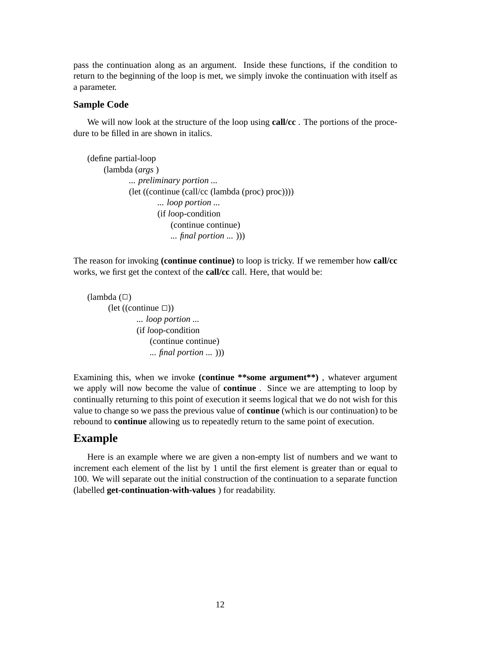pass the continuation along as an argument. Inside these functions, if the condition to return to the beginning of the loop is met, we simply invoke the continuation with itself as a parameter.

#### **Sample Code**

We will now look at the structure of the loop using **call/cc** . The portions of the procedure to be filled in are shown in italics.

```
(define partial-loop
    (lambda (args )
            ... preliminary portion ...
            (let ((continue (call/cc (lambda (proc) proc))))
                    ... loop portion ...
                     (if loop-condition
                         (continue continue)
                         ... final portion ... )))
```
The reason for invoking **(continue continue)** to loop is tricky. If we remember how **call/cc** works, we first get the context of the **call/cc** call. Here, that would be:

```
(lambda (\Box))(\text{let } ((\text{continue } \square))... loop portion ...
                 (if loop-condition
                      (continue continue)
                      ... final portion ... )))
```
Examining this, when we invoke **(continue \*\*some argument\*\*)** , whatever argument we apply will now become the value of **continue** . Since we are attempting to loop by continually returning to this point of execution it seems logical that we do not wish for this value to change so we pass the previous value of **continue** (which is our continuation) to be rebound to **continue** allowing us to repeatedly return to the same point of execution.

#### **Example**

Here is an example where we are given a non-empty list of numbers and we want to increment each element of the list by 1 until the first element is greater than or equal to 100. We will separate out the initial construction of the continuation to a separate function (labelled **get-continuation-with-values** ) for readability.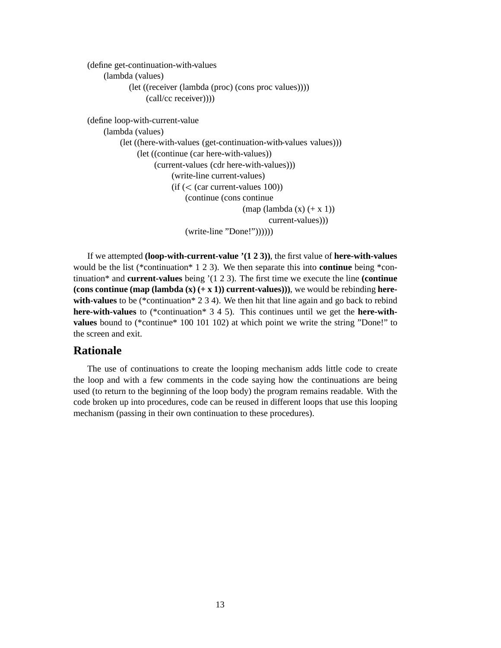```
(define get-continuation-with-values
    (lambda (values)
            (let ((receiver (lambda (proc) (cons proc values))))
                (call/cc receiver))))
(define loop-with-current-value
    (lambda (values)
         (let ((here-with-values (get-continuation-with-values values)))
              (let ((continue (car here-with-values))
                   (current-values (cdr here-with-values)))
                        (write-line current-values)
                        (i) (\lt (car current-values 100))
                            (continue (cons continue
```

```
(map (lambda (x) (+ x 1))
```
current-values)))

(write-line "Done!"))))))

If we attempted **(loop-with-current-value '(1 2 3))**, the first value of **here-with-values** would be the list (\*continuation\* 1 2 3). We then separate this into **continue** being \*continuation\* and **current-values** being '(1 2 3). The first time we execute the line **(continue (cons continue (map (lambda**  $(\mathbf{x})$  (+  $\mathbf{x}$  **1**)) **current-values**))), we would be rebinding **herewith-values** to be (\*continuation\* 2 3 4). We then hit that line again and go back to rebind **here-with-values** to (\*continuation\* 3 4 5). This continues until we get the **here-withvalues** bound to (\*continue\* 100 101 102) at which point we write the string "Done!" to the screen and exit.

## **Rationale**

The use of continuations to create the looping mechanism adds little code to create the loop and with a few comments in the code saying how the continuations are being used (to return to the beginning of the loop body) the program remains readable. With the code broken up into procedures, code can be reused in different loops that use this looping mechanism (passing in their own continuation to these procedures).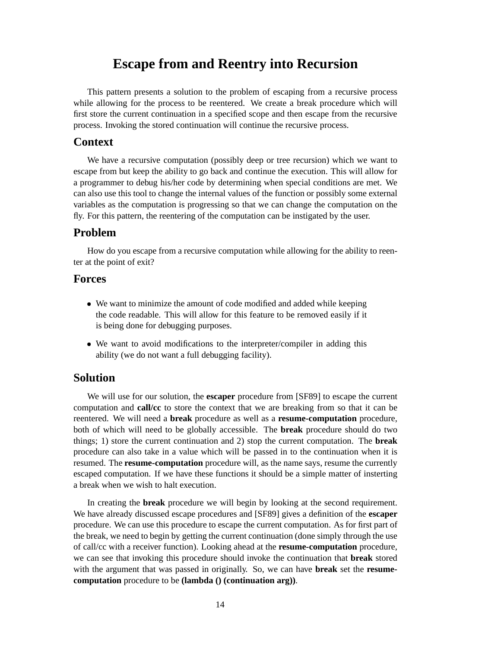# **Escape from and Reentry into Recursion**

This pattern presents a solution to the problem of escaping from a recursive process while allowing for the process to be reentered. We create a break procedure which will first store the current continuation in a specified scope and then escape from the recursive process. Invoking the stored continuation will continue the recursive process.

#### **Context**

We have a recursive computation (possibly deep or tree recursion) which we want to escape from but keep the ability to go back and continue the execution. This will allow for a programmer to debug his/her code by determining when special conditions are met. We can also use this tool to change the internal values of the function or possibly some external variables as the computation is progressing so that we can change the computation on the fly. For this pattern, the reentering of the computation can be instigated by the user.

#### **Problem**

How do you escape from a recursive computation while allowing for the ability to reenter at the point of exit?

#### **Forces**

- We want to minimize the amount of code modified and added while keeping the code readable. This will allow for this feature to be removed easily if it is being done for debugging purposes.
- We want to avoid modifications to the interpreter/compiler in adding this ability (we do not want a full debugging facility).

## **Solution**

We will use for our solution, the **escaper** procedure from [SF89] to escape the current computation and **call/cc** to store the context that we are breaking from so that it can be reentered. We will need a **break** procedure as well as a **resume-computation** procedure, both of which will need to be globally accessible. The **break** procedure should do two things; 1) store the current continuation and 2) stop the current computation. The **break** procedure can also take in a value which will be passed in to the continuation when it is resumed. The **resume-computation** procedure will, as the name says, resume the currently escaped computation. If we have these functions it should be a simple matter of insterting a break when we wish to halt execution.

In creating the **break** procedure we will begin by looking at the second requirement. We have already discussed escape procedures and [SF89] gives a definition of the **escaper** procedure. We can use this procedure to escape the current computation. As for first part of the break, we need to begin by getting the current continuation (done simply through the use of call/cc with a receiver function). Looking ahead at the **resume-computation** procedure, we can see that invoking this procedure should invoke the continuation that **break** stored with the argument that was passed in originally. So, we can have **break** set the **resumecomputation** procedure to be **(lambda () (continuation arg))**.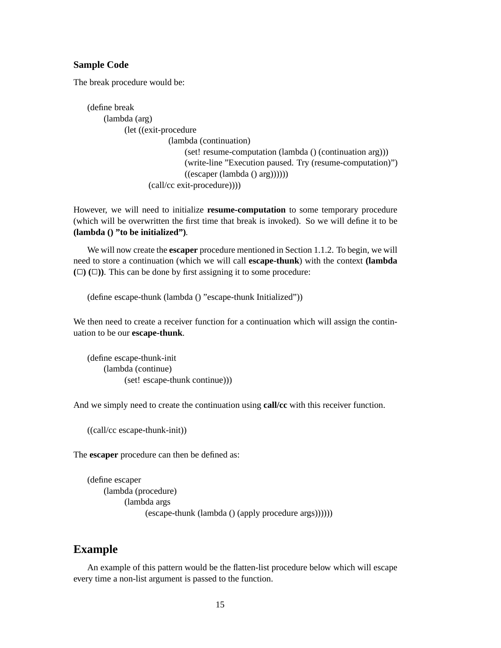#### **Sample Code**

The break procedure would be:

(define break (lambda (arg) (let ((exit-procedure (lambda (continuation) (set! resume-computation (lambda () (continuation arg))) (write-line "Execution paused. Try (resume-computation)")  $((\text{escape} (\text{lambda } () \text{ arg}))))))$ (call/cc exit-procedure))))

However, we will need to initialize **resume-computation** to some temporary procedure (which will be overwritten the first time that break is invoked). So we will define it to be **(lambda () "to be initialized")**.

We will now create the **escaper** procedure mentioned in Section 1.1.2. To begin, we will need to store a continuation (which we will call **escape-thunk**) with the context **(lambda**  $(\Box)$   $(\Box)$ ). This can be done by first assigning it to some procedure:

(define escape-thunk (lambda () "escape-thunk Initialized"))

We then need to create a receiver function for a continuation which will assign the continuation to be our **escape-thunk**.

(define escape-thunk-init (lambda (continue) (set! escape-thunk continue)))

And we simply need to create the continuation using **call/cc** with this receiver function.

((call/cc escape-thunk-init))

The **escaper** procedure can then be defined as:

```
(define escaper
    (lambda (procedure)
          (lambda args
                (escape-thunk (lambda () (apply procedure args))))))
```
#### **Example**

An example of this pattern would be the flatten-list procedure below which will escape every time a non-list argument is passed to the function.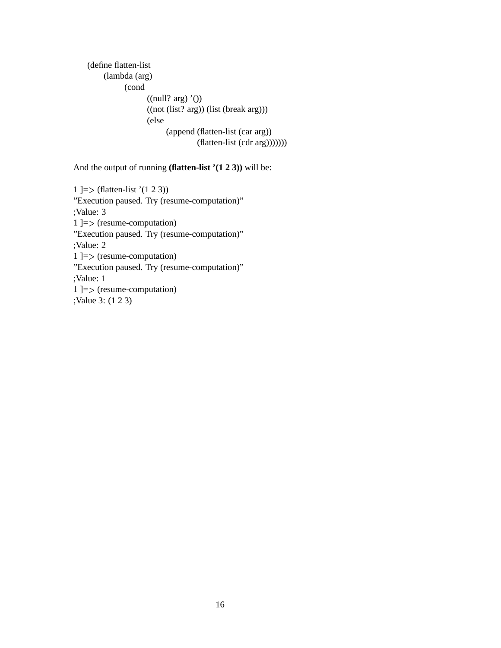```
(define flatten-list
     (lambda (arg)
          (cond
                  ((null? arg) '())((not (list? arg)) (list (break arg)))
                  (else
                       (append (flatten-list (car arg))
                                 (flatten-list (cdr arg)))))))
```
And the output of running **(flatten-list '(1 2 3))** will be:

1 ]= (flatten-list '(1 2 3)) "Execution paused. Try (resume-computation)" ;Value: 3 1 ]= (resume-computation) "Execution paused. Try (resume-computation)" ;Value: 2 1 ]= (resume-computation) "Execution paused. Try (resume-computation)" ;Value: 1 1 ]= (resume-computation) ;Value 3: (1 2 3)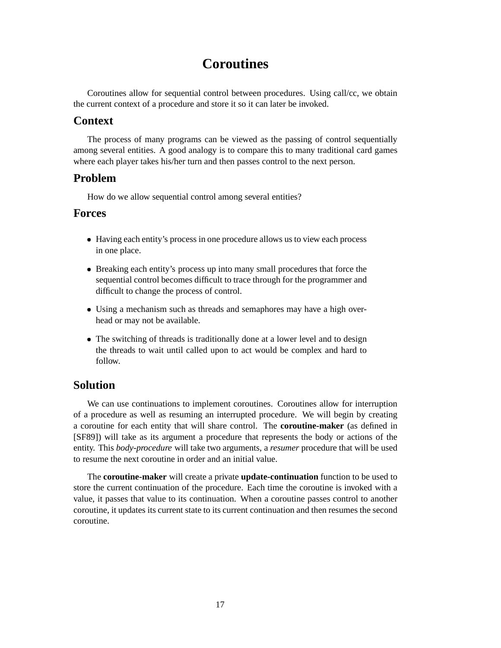# **Coroutines**

Coroutines allow for sequential control between procedures. Using call/cc, we obtain the current context of a procedure and store it so it can later be invoked.

## **Context**

The process of many programs can be viewed as the passing of control sequentially among several entities. A good analogy is to compare this to many traditional card games where each player takes his/her turn and then passes control to the next person.

## **Problem**

How do we allow sequential control among several entities?

## **Forces**

- Having each entity's process in one procedure allows us to view each process in one place.
- Breaking each entity's process up into many small procedures that force the sequential control becomes difficult to trace through for the programmer and difficult to change the process of control.
- Using a mechanism such as threads and semaphores may have a high overhead or may not be available.
- The switching of threads is traditionally done at a lower level and to design the threads to wait until called upon to act would be complex and hard to follow.

## **Solution**

We can use continuations to implement coroutines. Coroutines allow for interruption of a procedure as well as resuming an interrupted procedure. We will begin by creating a coroutine for each entity that will share control. The **coroutine-maker** (as defined in [SF89]) will take as its argument a procedure that represents the body or actions of the entity. This *body-procedure* will take two arguments, a *resumer* procedure that will be used to resume the next coroutine in order and an initial value.

The **coroutine-maker** will create a private **update-continuation** function to be used to store the current continuation of the procedure. Each time the coroutine is invoked with a value, it passes that value to its continuation. When a coroutine passes control to another coroutine, it updates its current state to its current continuation and then resumes the second coroutine.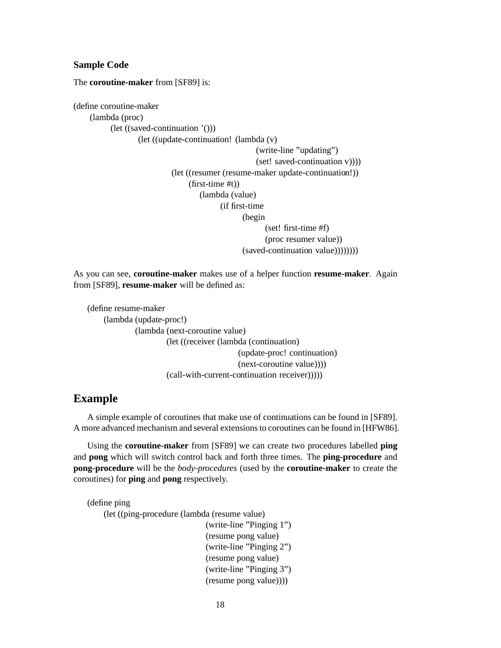#### **Sample Code**

The **coroutine-maker** from [SF89] is:

(define coroutine-maker (lambda (proc) (let ((saved-continuation '())) (let ((update-continuation! (lambda (v) (write-line "updating") (set! saved-continuation v)))) (let ((resumer (resume-maker update-continuation!)) (first-time #t)) (lambda (value) (if first-time (begin (set! first-time #f) (proc resumer value)) (saved-continuation value))))))))

As you can see, **coroutine-maker** makes use of a helper function **resume-maker**. Again from [SF89], **resume-maker** will be defined as:

```
(define resume-maker
    (lambda (update-proc!)
             (lambda (next-coroutine value)
                      (let ((receiver (lambda (continuation)
                                          (update-proc! continuation)
                                          (next-coroutine value))))
                      (call-with-current-continuation receiver)))))
```
#### **Example**

A simple example of coroutines that make use of continuations can be found in [SF89]. A more advanced mechanism and several extensionsto coroutines can be found in [HFW86].

Using the **coroutine-maker** from [SF89] we can create two procedures labelled **ping** and **pong** which will switch control back and forth three times. The **ping-procedure** and **pong-procedure** will be the *body-procedures* (used by the **coroutine-maker** to create the coroutines) for **ping** and **pong** respectively.

```
(define ping
    (let ((ping-procedure (lambda (resume value)
                                (write-line "Pinging 1")
                                (resume pong value)
                                (write-line "Pinging 2")
                                (resume pong value)
                                (write-line "Pinging 3")
                                (resume pong value))))
```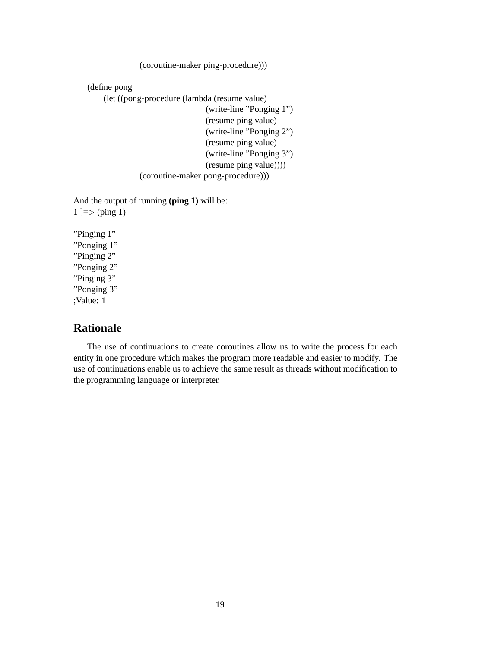(coroutine-maker ping-procedure)))

(define pong

(let ((pong-procedure (lambda (resume value)

(write-line "Ponging 1") (resume ping value) (write-line "Ponging 2") (resume ping value) (write-line "Ponging 3") (resume ping value)))) (coroutine-maker pong-procedure)))

And the output of running **(ping 1)** will be:  $1 \equiv > \pmod{1}$ 

"Pinging 1" "Ponging 1" "Pinging 2" "Ponging 2" "Pinging 3" "Ponging 3" ;Value: 1

#### **Rationale**

The use of continuations to create coroutines allow us to write the process for each entity in one procedure which makes the program more readable and easier to modify. The use of continuations enable us to achieve the same result as threads without modification to the programming language or interpreter.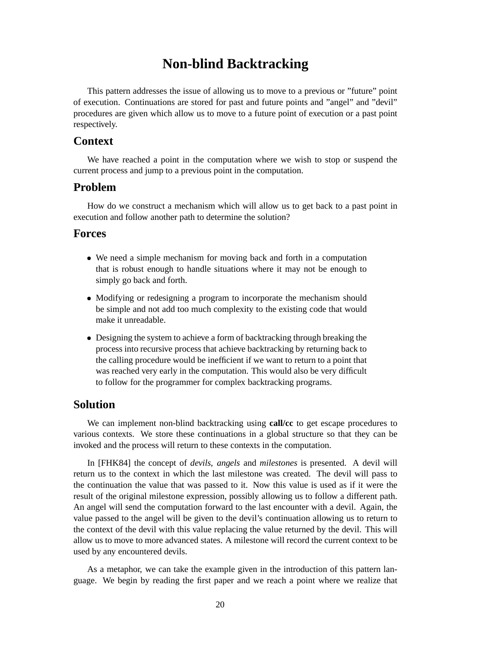# **Non-blind Backtracking**

This pattern addresses the issue of allowing us to move to a previous or "future" point of execution. Continuations are stored for past and future points and "angel" and "devil" procedures are given which allow us to move to a future point of execution or a past point respectively.

### **Context**

We have reached a point in the computation where we wish to stop or suspend the current process and jump to a previous point in the computation.

#### **Problem**

How do we construct a mechanism which will allow us to get back to a past point in execution and follow another path to determine the solution?

#### **Forces**

- We need a simple mechanism for moving back and forth in a computation that is robust enough to handle situations where it may not be enough to simply go back and forth.
- Modifying or redesigning a program to incorporate the mechanism should be simple and not add too much complexity to the existing code that would make it unreadable.
- Designing the system to achieve a form of backtracking through breaking the process into recursive process that achieve backtracking by returning back to the calling procedure would be inefficient if we want to return to a point that was reached very early in the computation. This would also be very difficult to follow for the programmer for complex backtracking programs.

### **Solution**

We can implement non-blind backtracking using **call/cc** to get escape procedures to various contexts. We store these continuations in a global structure so that they can be invoked and the process will return to these contexts in the computation.

In [FHK84] the concept of *devils*, *angels* and *milestones* is presented. A devil will return us to the context in which the last milestone was created. The devil will pass to the continuation the value that was passed to it. Now this value is used as if it were the result of the original milestone expression, possibly allowing us to follow a different path. An angel will send the computation forward to the last encounter with a devil. Again, the value passed to the angel will be given to the devil's continuation allowing us to return to the context of the devil with this value replacing the value returned by the devil. This will allow us to move to more advanced states. A milestone will record the current context to be used by any encountered devils.

As a metaphor, we can take the example given in the introduction of this pattern language. We begin by reading the first paper and we reach a point where we realize that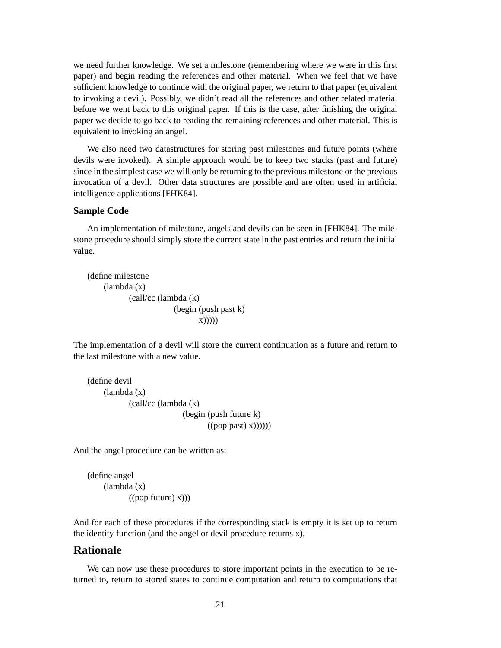we need further knowledge. We set a milestone (remembering where we were in this first paper) and begin reading the references and other material. When we feel that we have sufficient knowledge to continue with the original paper, we return to that paper (equivalent to invoking a devil). Possibly, we didn't read all the references and other related material before we went back to this original paper. If this is the case, after finishing the original paper we decide to go back to reading the remaining references and other material. This is equivalent to invoking an angel.

We also need two datastructures for storing past milestones and future points (where devils were invoked). A simple approach would be to keep two stacks (past and future) since in the simplest case we will only be returning to the previous milestone or the previous invocation of a devil. Other data structures are possible and are often used in artificial intelligence applications [FHK84].

#### **Sample Code**

An implementation of milestone, angels and devils can be seen in [FHK84]. The milestone procedure should simply store the current state in the past entries and return the initial value.

```
(define milestone
    (lambda (x)
           (call/cc (lambda (k)
                        (begin (push past k)
                               x)))))
```
The implementation of a devil will store the current continuation as a future and return to the last milestone with a new value.

```
(define devil
    (lambda (x)
           (call/cc (lambda (k)
                          (begin (push future k)
                                 ((pop past(x))))))
```
And the angel procedure can be written as:

```
(define angel
    (lambda (x)
           ((pop future) x))
```
And for each of these procedures if the corresponding stack is empty it is set up to return the identity function (and the angel or devil procedure returns x).

## **Rationale**

We can now use these procedures to store important points in the execution to be returned to, return to stored states to continue computation and return to computations that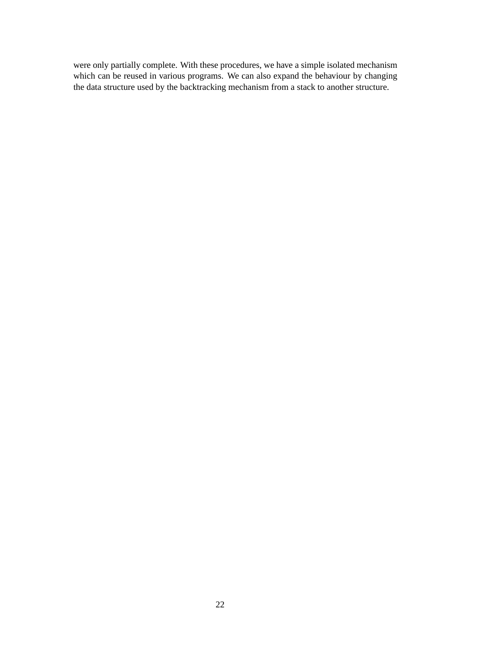were only partially complete. With these procedures, we have a simple isolated mechanism which can be reused in various programs. We can also expand the behaviour by changing the data structure used by the backtracking mechanism from a stack to another structure.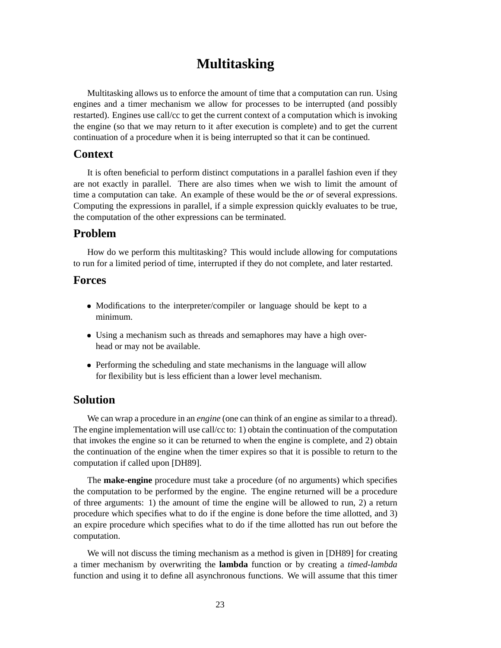# **Multitasking**

Multitasking allows us to enforce the amount of time that a computation can run. Using engines and a timer mechanism we allow for processes to be interrupted (and possibly restarted). Engines use call/cc to get the current context of a computation which is invoking the engine (so that we may return to it after execution is complete) and to get the current continuation of a procedure when it is being interrupted so that it can be continued.

### **Context**

It is often beneficial to perform distinct computations in a parallel fashion even if they are not exactly in parallel. There are also times when we wish to limit the amount of time a computation can take. An example of these would be the *or* of several expressions. Computing the expressions in parallel, if a simple expression quickly evaluates to be true, the computation of the other expressions can be terminated.

## **Problem**

How do we perform this multitasking? This would include allowing for computations to run for a limited period of time, interrupted if they do not complete, and later restarted.

#### **Forces**

- Modifications to the interpreter/compiler or language should be kept to a minimum.
- Using a mechanism such as threads and semaphores may have a high overhead or may not be available.
- Performing the scheduling and state mechanisms in the language will allow for flexibility but is less efficient than a lower level mechanism.

#### **Solution**

We can wrap a procedure in an *engine* (one can think of an engine as similar to a thread). The engine implementation will use call/cc to: 1) obtain the continuation of the computation that invokes the engine so it can be returned to when the engine is complete, and 2) obtain the continuation of the engine when the timer expires so that it is possible to return to the computation if called upon [DH89].

The **make-engine** procedure must take a procedure (of no arguments) which specifies the computation to be performed by the engine. The engine returned will be a procedure of three arguments: 1) the amount of time the engine will be allowed to run, 2) a return procedure which specifies what to do if the engine is done before the time allotted, and 3) an expire procedure which specifies what to do if the time allotted has run out before the computation.

We will not discuss the timing mechanism as a method is given in [DH89] for creating a timer mechanism by overwriting the **lambda** function or by creating a *timed-lambda* function and using it to define all asynchronous functions. We will assume that this timer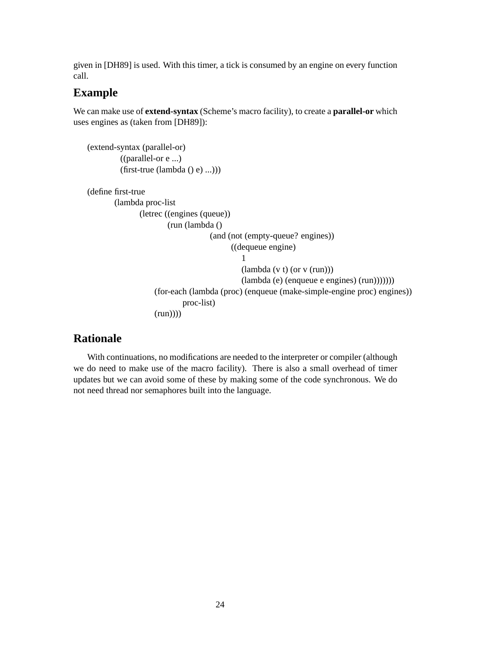given in [DH89] is used. With this timer, a tick is consumed by an engine on every function call.

## **Example**

We can make use of **extend-syntax** (Scheme's macro facility), to create a **parallel-or** which uses engines as (taken from [DH89]):

```
(extend-syntax (parallel-or)
         ((parallel-or e ...)
         (first-true (lambda () e) ...)))
(define first-true
       (lambda proc-list
              (letrec ((engines (queue))
                       (run (lambda ()
                                   (and (not (empty-queue? engines))
                                         ((dequeue engine)
                                            1
                                            (lambda (v t) (or v (run)))
                                            (lambda (e) (enqueue e engines) (run)))))))
                   (for-each (lambda (proc) (enqueue (make-simple-engine proc) engines))
                           proc-list)
                   (run))))
```
## **Rationale**

With continuations, no modifications are needed to the interpreter or compiler (although we do need to make use of the macro facility). There is also a small overhead of timer updates but we can avoid some of these by making some of the code synchronous. We do not need thread nor semaphores built into the language.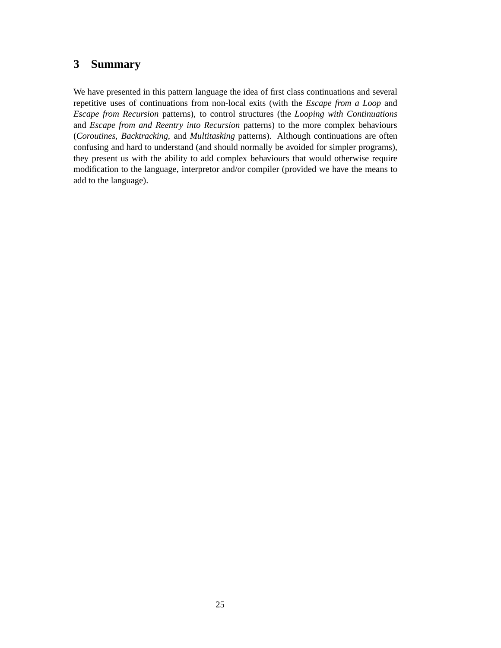# **3 Summary**

We have presented in this pattern language the idea of first class continuations and several repetitive uses of continuations from non-local exits (with the *Escape from a Loop* and *Escape from Recursion* patterns), to control structures (the *Looping with Continuations* and *Escape from and Reentry into Recursion* patterns) to the more complex behaviours (*Coroutines*, *Backtracking*, and *Multitasking* patterns). Although continuations are often confusing and hard to understand (and should normally be avoided for simpler programs), they present us with the ability to add complex behaviours that would otherwise require modification to the language, interpretor and/or compiler (provided we have the means to add to the language).